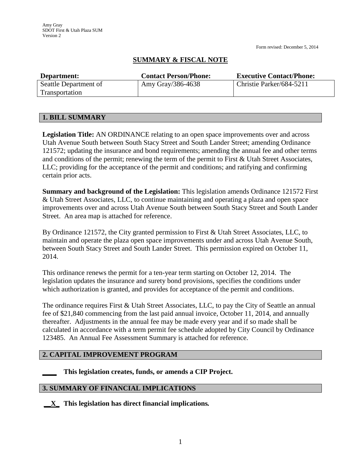Form revised: December 5, 2014

# **SUMMARY & FISCAL NOTE**

| Department:           | <b>Contact Person/Phone:</b> | <b>Executive Contact/Phone:</b> |
|-----------------------|------------------------------|---------------------------------|
| Seattle Department of | Amy Gray/386-4638            | Christie Parker/684-5211        |
| Transportation        |                              |                                 |

## **1. BILL SUMMARY**

**Legislation Title:** AN ORDINANCE relating to an open space improvements over and across Utah Avenue South between South Stacy Street and South Lander Street; amending Ordinance 121572; updating the insurance and bond requirements; amending the annual fee and other terms and conditions of the permit; renewing the term of the permit to First & Utah Street Associates, LLC; providing for the acceptance of the permit and conditions; and ratifying and confirming certain prior acts.

**Summary and background of the Legislation:** This legislation amends Ordinance 121572 First & Utah Street Associates, LLC, to continue maintaining and operating a plaza and open space improvements over and across Utah Avenue South between South Stacy Street and South Lander Street. An area map is attached for reference.

By Ordinance 121572, the City granted permission to First & Utah Street Associates, LLC, to maintain and operate the plaza open space improvements under and across Utah Avenue South, between South Stacy Street and South Lander Street. This permission expired on October 11, 2014.

This ordinance renews the permit for a ten-year term starting on October 12, 2014. The legislation updates the insurance and surety bond provisions, specifies the conditions under which authorization is granted, and provides for acceptance of the permit and conditions.

The ordinance requires First & Utah Street Associates, LLC, to pay the City of Seattle an annual fee of \$21,840 commencing from the last paid annual invoice, October 11, 2014, and annually thereafter. Adjustments in the annual fee may be made every year and if so made shall be calculated in accordance with a term permit fee schedule adopted by City Council by Ordinance 123485. An Annual Fee Assessment Summary is attached for reference.

## **2. CAPITAL IMPROVEMENT PROGRAM**

**\_\_\_\_ This legislation creates, funds, or amends a CIP Project.** 

## **3. SUMMARY OF FINANCIAL IMPLICATIONS**

**\_\_X\_ This legislation has direct financial implications***.*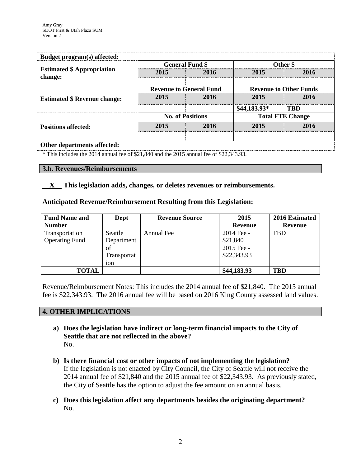|                               | Other \$     |  |
|-------------------------------|--------------|--|
| 2015                          | 2016         |  |
| <b>Revenue to Other Funds</b> |              |  |
| 2015                          | 2016         |  |
|                               | <b>TBD</b>   |  |
| <b>Total FTE Change</b>       |              |  |
| 2015                          | 2016         |  |
|                               |              |  |
|                               | \$44,183.93* |  |

#### **Other departments affected:**

\* This includes the 2014 annual fee of \$21,840 and the 2015 annual fee of \$22,343.93.

#### **3.b. Revenues/Reimbursements**

**\_\_X\_\_ This legislation adds, changes, or deletes revenues or reimbursements.**

### **Anticipated Revenue/Reimbursement Resulting from this Legislation:**

| <b>Fund Name and</b>  | Dept        | <b>Revenue Source</b> | 2015         | 2016 Estimated |
|-----------------------|-------------|-----------------------|--------------|----------------|
| <b>Number</b>         |             |                       | Revenue      | Revenue        |
| Transportation        | Seattle     | Annual Fee            | $2014$ Fee - | <b>TBD</b>     |
| <b>Operating Fund</b> | Department  |                       | \$21,840     |                |
|                       | of          |                       | 2015 Fee -   |                |
|                       | Transportat |                       | \$22,343.93  |                |
|                       | 10n         |                       |              |                |
| <b>TOTAL</b>          |             |                       | \$44,183.93  | TBD            |

Revenue/Reimbursement Notes: This includes the 2014 annual fee of \$21,840. The 2015 annual fee is \$22,343.93. The 2016 annual fee will be based on 2016 King County assessed land values.

#### **4. OTHER IMPLICATIONS**

- **a) Does the legislation have indirect or long-term financial impacts to the City of Seattle that are not reflected in the above?** No.
- **b) Is there financial cost or other impacts of not implementing the legislation?** If the legislation is not enacted by City Council, the City of Seattle will not receive the 2014 annual fee of \$21,840 and the 2015 annual fee of \$22,343.93. As previously stated, the City of Seattle has the option to adjust the fee amount on an annual basis.
- **c) Does this legislation affect any departments besides the originating department?**  No.